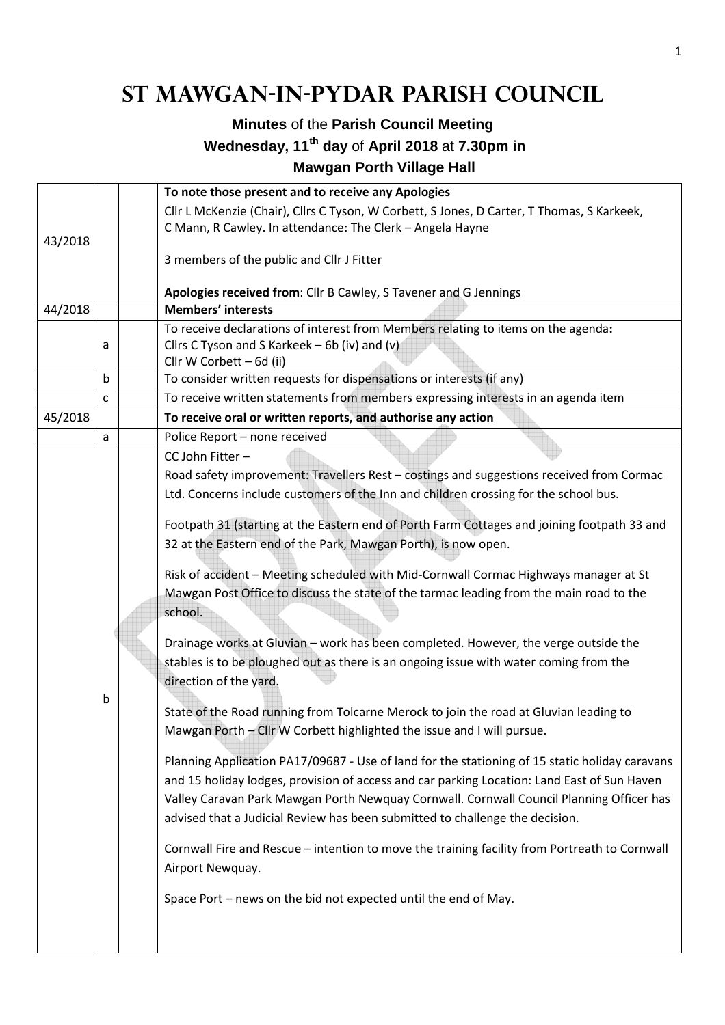## **St Mawgan-in-Pydar Parish Council**

## **Minutes** of the **Parish Council Meeting Wednesday, 11th day** of **April 2018** at **7.30pm in Mawgan Porth Village Hall**

|         |   | To note those present and to receive any Apologies                                                                                   |  |  |  |
|---------|---|--------------------------------------------------------------------------------------------------------------------------------------|--|--|--|
|         |   | Cllr L McKenzie (Chair), Cllrs C Tyson, W Corbett, S Jones, D Carter, T Thomas, S Karkeek,                                           |  |  |  |
|         |   | C Mann, R Cawley. In attendance: The Clerk - Angela Hayne                                                                            |  |  |  |
| 43/2018 |   | 3 members of the public and Cllr J Fitter                                                                                            |  |  |  |
|         |   |                                                                                                                                      |  |  |  |
|         |   | Apologies received from: Cllr B Cawley, S Tavener and G Jennings<br><b>Members' interests</b>                                        |  |  |  |
| 44/2018 |   |                                                                                                                                      |  |  |  |
|         | a | To receive declarations of interest from Members relating to items on the agenda:<br>Cllrs C Tyson and S Karkeek $-$ 6b (iv) and (v) |  |  |  |
|         |   | Cllr W Corbett - 6d (ii)                                                                                                             |  |  |  |
|         | b | To consider written requests for dispensations or interests (if any)                                                                 |  |  |  |
|         | C | To receive written statements from members expressing interests in an agenda item                                                    |  |  |  |
| 45/2018 |   | To receive oral or written reports, and authorise any action                                                                         |  |  |  |
|         | a | Police Report - none received                                                                                                        |  |  |  |
|         |   | CC John Fitter-                                                                                                                      |  |  |  |
|         |   | Road safety improvement: Travellers Rest - costings and suggestions received from Cormac                                             |  |  |  |
|         |   | Ltd. Concerns include customers of the Inn and children crossing for the school bus.                                                 |  |  |  |
|         |   |                                                                                                                                      |  |  |  |
|         |   | Footpath 31 (starting at the Eastern end of Porth Farm Cottages and joining footpath 33 and                                          |  |  |  |
|         |   | 32 at the Eastern end of the Park, Mawgan Porth), is now open.                                                                       |  |  |  |
|         |   |                                                                                                                                      |  |  |  |
|         |   | Risk of accident - Meeting scheduled with Mid-Cornwall Cormac Highways manager at St                                                 |  |  |  |
|         |   | Mawgan Post Office to discuss the state of the tarmac leading from the main road to the                                              |  |  |  |
|         |   | school.                                                                                                                              |  |  |  |
|         |   |                                                                                                                                      |  |  |  |
|         |   | Drainage works at Gluvian - work has been completed. However, the verge outside the                                                  |  |  |  |
|         |   | stables is to be ploughed out as there is an ongoing issue with water coming from the                                                |  |  |  |
|         |   | direction of the yard.                                                                                                               |  |  |  |
|         | b | State of the Road running from Tolcarne Merock to join the road at Gluvian leading to                                                |  |  |  |
|         |   | Mawgan Porth - Cllr W Corbett highlighted the issue and I will pursue.                                                               |  |  |  |
|         |   |                                                                                                                                      |  |  |  |
|         |   | Planning Application PA17/09687 - Use of land for the stationing of 15 static holiday caravans                                       |  |  |  |
|         |   | and 15 holiday lodges, provision of access and car parking Location: Land East of Sun Haven                                          |  |  |  |
|         |   | Valley Caravan Park Mawgan Porth Newquay Cornwall. Cornwall Council Planning Officer has                                             |  |  |  |
|         |   | advised that a Judicial Review has been submitted to challenge the decision.                                                         |  |  |  |
|         |   |                                                                                                                                      |  |  |  |
|         |   | Cornwall Fire and Rescue - intention to move the training facility from Portreath to Cornwall                                        |  |  |  |
|         |   | Airport Newquay.                                                                                                                     |  |  |  |
|         |   | Space Port - news on the bid not expected until the end of May.                                                                      |  |  |  |
|         |   |                                                                                                                                      |  |  |  |
|         |   |                                                                                                                                      |  |  |  |
|         |   |                                                                                                                                      |  |  |  |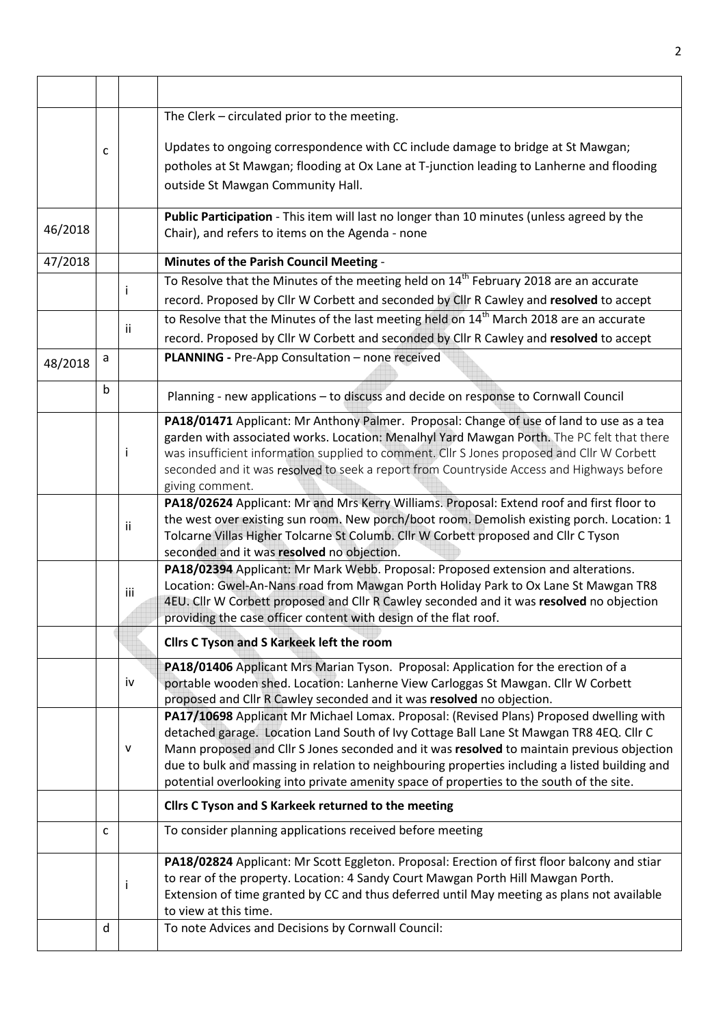|         |   |     | The Clerk - circulated prior to the meeting.                                                                                                                                            |  |  |  |  |  |
|---------|---|-----|-----------------------------------------------------------------------------------------------------------------------------------------------------------------------------------------|--|--|--|--|--|
|         | C |     | Updates to ongoing correspondence with CC include damage to bridge at St Mawgan;                                                                                                        |  |  |  |  |  |
|         |   |     | potholes at St Mawgan; flooding at Ox Lane at T-junction leading to Lanherne and flooding                                                                                               |  |  |  |  |  |
|         |   |     | outside St Mawgan Community Hall.                                                                                                                                                       |  |  |  |  |  |
|         |   |     | Public Participation - This item will last no longer than 10 minutes (unless agreed by the                                                                                              |  |  |  |  |  |
| 46/2018 |   |     | Chair), and refers to items on the Agenda - none                                                                                                                                        |  |  |  |  |  |
| 47/2018 |   |     | Minutes of the Parish Council Meeting -                                                                                                                                                 |  |  |  |  |  |
|         |   |     | To Resolve that the Minutes of the meeting held on 14 <sup>th</sup> February 2018 are an accurate                                                                                       |  |  |  |  |  |
|         |   |     | record. Proposed by Cllr W Corbett and seconded by Cllr R Cawley and resolved to accept                                                                                                 |  |  |  |  |  |
|         |   |     | to Resolve that the Minutes of the last meeting held on 14 <sup>th</sup> March 2018 are an accurate                                                                                     |  |  |  |  |  |
|         |   | Ϊİ  | record. Proposed by Cllr W Corbett and seconded by Cllr R Cawley and resolved to accept                                                                                                 |  |  |  |  |  |
| 48/2018 | a |     | PLANNING - Pre-App Consultation - none received                                                                                                                                         |  |  |  |  |  |
|         |   |     |                                                                                                                                                                                         |  |  |  |  |  |
|         | b |     | Planning - new applications - to discuss and decide on response to Cornwall Council                                                                                                     |  |  |  |  |  |
|         |   |     | PA18/01471 Applicant: Mr Anthony Palmer. Proposal: Change of use of land to use as a tea                                                                                                |  |  |  |  |  |
|         |   |     | garden with associated works. Location: Menalhyl Yard Mawgan Porth. The PC felt that there                                                                                              |  |  |  |  |  |
|         |   | ı   | was insufficient information supplied to comment. Cllr S Jones proposed and Cllr W Corbett                                                                                              |  |  |  |  |  |
|         |   |     | seconded and it was resolved to seek a report from Countryside Access and Highways before                                                                                               |  |  |  |  |  |
|         |   |     | giving comment.                                                                                                                                                                         |  |  |  |  |  |
|         |   |     | PA18/02624 Applicant: Mr and Mrs Kerry Williams. Proposal: Extend roof and first floor to<br>the west over existing sun room. New porch/boot room. Demolish existing porch. Location: 1 |  |  |  |  |  |
|         |   | Ϊİ  | Tolcarne Villas Higher Tolcarne St Columb. Cllr W Corbett proposed and Cllr C Tyson                                                                                                     |  |  |  |  |  |
|         |   |     | seconded and it was resolved no objection.                                                                                                                                              |  |  |  |  |  |
|         |   |     | PA18/02394 Applicant: Mr Mark Webb. Proposal: Proposed extension and alterations.                                                                                                       |  |  |  |  |  |
|         |   |     | Location: Gwel-An-Nans road from Mawgan Porth Holiday Park to Ox Lane St Mawgan TR8                                                                                                     |  |  |  |  |  |
|         |   | iii | 4EU. Cllr W Corbett proposed and Cllr R Cawley seconded and it was resolved no objection                                                                                                |  |  |  |  |  |
|         |   |     | providing the case officer content with design of the flat roof.                                                                                                                        |  |  |  |  |  |
|         |   |     | Cllrs C Tyson and S Karkeek left the room                                                                                                                                               |  |  |  |  |  |
|         |   |     | PA18/01406 Applicant Mrs Marian Tyson. Proposal: Application for the erection of a                                                                                                      |  |  |  |  |  |
|         |   | iv  | portable wooden shed. Location: Lanherne View Carloggas St Mawgan. Cllr W Corbett                                                                                                       |  |  |  |  |  |
|         |   |     | proposed and Cllr R Cawley seconded and it was resolved no objection.                                                                                                                   |  |  |  |  |  |
|         |   |     | PA17/10698 Applicant Mr Michael Lomax. Proposal: (Revised Plans) Proposed dwelling with                                                                                                 |  |  |  |  |  |
|         |   |     | detached garage. Location Land South of Ivy Cottage Ball Lane St Mawgan TR8 4EQ. Cllr C                                                                                                 |  |  |  |  |  |
|         |   | v   | Mann proposed and Cllr S Jones seconded and it was resolved to maintain previous objection                                                                                              |  |  |  |  |  |
|         |   |     | due to bulk and massing in relation to neighbouring properties including a listed building and                                                                                          |  |  |  |  |  |
|         |   |     | potential overlooking into private amenity space of properties to the south of the site.                                                                                                |  |  |  |  |  |
|         |   |     | Cllrs C Tyson and S Karkeek returned to the meeting                                                                                                                                     |  |  |  |  |  |
|         | с |     | To consider planning applications received before meeting                                                                                                                               |  |  |  |  |  |
|         |   |     | PA18/02824 Applicant: Mr Scott Eggleton. Proposal: Erection of first floor balcony and stiar                                                                                            |  |  |  |  |  |
|         |   |     | to rear of the property. Location: 4 Sandy Court Mawgan Porth Hill Mawgan Porth.                                                                                                        |  |  |  |  |  |
|         |   | ı   | Extension of time granted by CC and thus deferred until May meeting as plans not available                                                                                              |  |  |  |  |  |
|         |   |     | to view at this time.                                                                                                                                                                   |  |  |  |  |  |
|         | d |     | To note Advices and Decisions by Cornwall Council:                                                                                                                                      |  |  |  |  |  |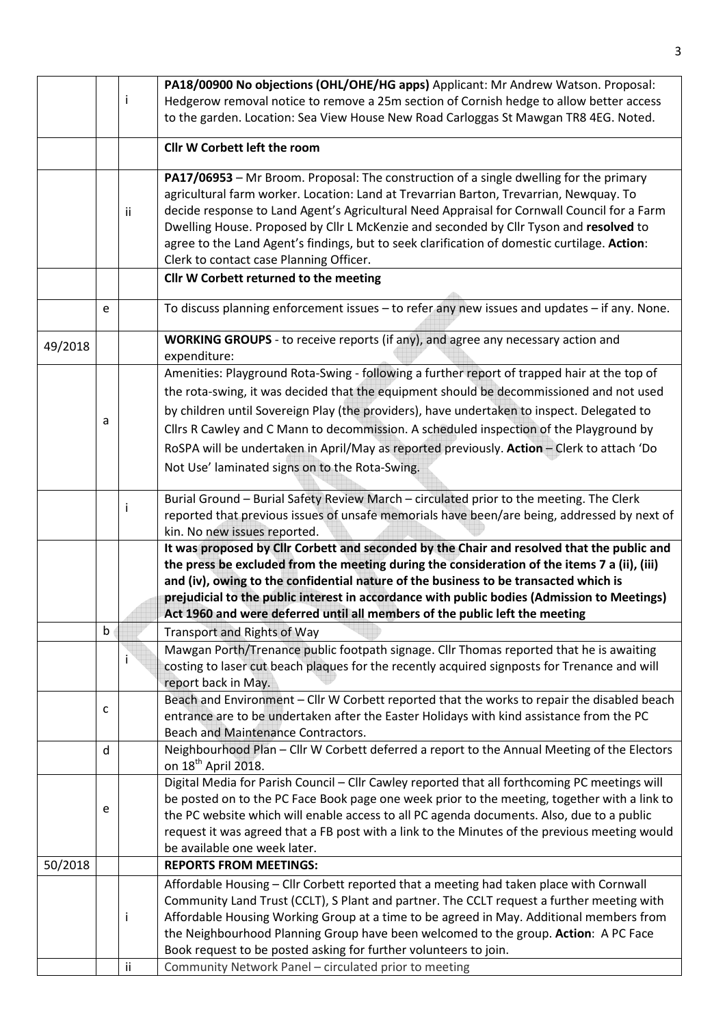|         |             |              | PA18/00900 No objections (OHL/OHE/HG apps) Applicant: Mr Andrew Watson. Proposal:             |  |
|---------|-------------|--------------|-----------------------------------------------------------------------------------------------|--|
|         |             | $\mathbf{I}$ | Hedgerow removal notice to remove a 25m section of Cornish hedge to allow better access       |  |
|         |             |              | to the garden. Location: Sea View House New Road Carloggas St Mawgan TR8 4EG. Noted.          |  |
|         |             |              |                                                                                               |  |
|         |             |              | <b>Cllr W Corbett left the room</b>                                                           |  |
|         |             |              | PA17/06953 - Mr Broom. Proposal: The construction of a single dwelling for the primary        |  |
|         |             |              | agricultural farm worker. Location: Land at Trevarrian Barton, Trevarrian, Newquay. To        |  |
|         |             | Ϊİ           | decide response to Land Agent's Agricultural Need Appraisal for Cornwall Council for a Farm   |  |
|         |             |              | Dwelling House. Proposed by Cllr L McKenzie and seconded by Cllr Tyson and resolved to        |  |
|         |             |              | agree to the Land Agent's findings, but to seek clarification of domestic curtilage. Action:  |  |
|         |             |              | Clerk to contact case Planning Officer.                                                       |  |
|         |             |              | Cllr W Corbett returned to the meeting                                                        |  |
|         | e           |              | To discuss planning enforcement issues - to refer any new issues and updates - if any. None.  |  |
|         |             |              |                                                                                               |  |
| 49/2018 |             |              | WORKING GROUPS - to receive reports (if any), and agree any necessary action and              |  |
|         |             |              | expenditure:                                                                                  |  |
|         |             |              | Amenities: Playground Rota-Swing - following a further report of trapped hair at the top of   |  |
|         |             |              | the rota-swing, it was decided that the equipment should be decommissioned and not used       |  |
|         |             |              | by children until Sovereign Play (the providers), have undertaken to inspect. Delegated to    |  |
|         | a           |              | Cllrs R Cawley and C Mann to decommission. A scheduled inspection of the Playground by        |  |
|         |             |              | RoSPA will be undertaken in April/May as reported previously. Action - Clerk to attach 'Do    |  |
|         |             |              |                                                                                               |  |
|         |             |              | Not Use' laminated signs on to the Rota-Swing.                                                |  |
|         |             |              | Burial Ground - Burial Safety Review March - circulated prior to the meeting. The Clerk       |  |
|         |             |              | reported that previous issues of unsafe memorials have been/are being, addressed by next of   |  |
|         |             |              | kin. No new issues reported.                                                                  |  |
|         |             |              | It was proposed by Cllr Corbett and seconded by the Chair and resolved that the public and    |  |
|         |             |              | the press be excluded from the meeting during the consideration of the items 7 a (ii), (iii)  |  |
|         |             |              | and (iv), owing to the confidential nature of the business to be transacted which is          |  |
|         |             |              | prejudicial to the public interest in accordance with public bodies (Admission to Meetings)   |  |
|         |             |              | Act 1960 and were deferred until all members of the public left the meeting                   |  |
|         | $\mathsf b$ |              | <b>Transport and Rights of Way</b>                                                            |  |
|         |             |              | Mawgan Porth/Trenance public footpath signage. Cllr Thomas reported that he is awaiting       |  |
|         |             |              | costing to laser cut beach plaques for the recently acquired signposts for Trenance and will  |  |
|         |             |              | report back in May.                                                                           |  |
|         |             |              | Beach and Environment - Cllr W Corbett reported that the works to repair the disabled beach   |  |
|         | c           |              | entrance are to be undertaken after the Easter Holidays with kind assistance from the PC      |  |
|         |             |              | <b>Beach and Maintenance Contractors.</b>                                                     |  |
|         | d           |              | Neighbourhood Plan - Cllr W Corbett deferred a report to the Annual Meeting of the Electors   |  |
|         |             |              | on 18 <sup>th</sup> April 2018.                                                               |  |
|         |             |              | Digital Media for Parish Council - Cllr Cawley reported that all forthcoming PC meetings will |  |
|         |             |              | be posted on to the PC Face Book page one week prior to the meeting, together with a link to  |  |
|         | e           |              | the PC website which will enable access to all PC agenda documents. Also, due to a public     |  |
|         |             |              | request it was agreed that a FB post with a link to the Minutes of the previous meeting would |  |
|         |             |              | be available one week later.                                                                  |  |
| 50/2018 |             |              | <b>REPORTS FROM MEETINGS:</b>                                                                 |  |
|         |             |              | Affordable Housing - Cllr Corbett reported that a meeting had taken place with Cornwall       |  |
|         |             |              | Community Land Trust (CCLT), S Plant and partner. The CCLT request a further meeting with     |  |
|         |             | j.           | Affordable Housing Working Group at a time to be agreed in May. Additional members from       |  |
|         |             |              | the Neighbourhood Planning Group have been welcomed to the group. Action: A PC Face           |  |
|         |             |              | Book request to be posted asking for further volunteers to join.                              |  |
|         |             | ii           | Community Network Panel - circulated prior to meeting                                         |  |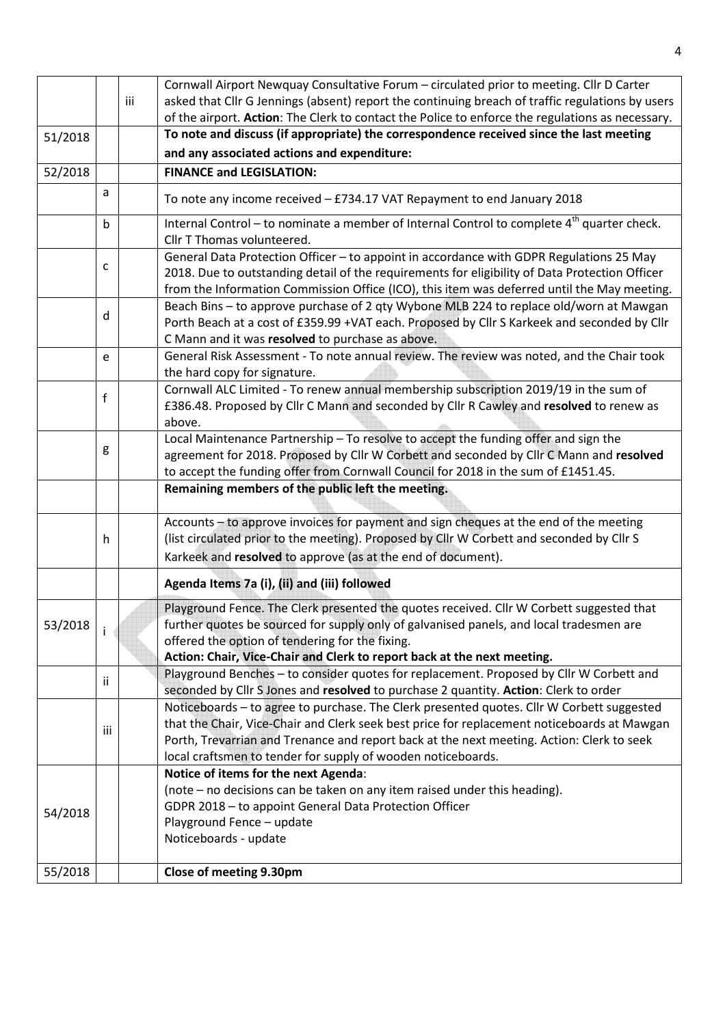|         |     |     | Cornwall Airport Newquay Consultative Forum - circulated prior to meeting. Cllr D Carter                                                                                                                                                                                                                                                              |  |  |  |  |
|---------|-----|-----|-------------------------------------------------------------------------------------------------------------------------------------------------------------------------------------------------------------------------------------------------------------------------------------------------------------------------------------------------------|--|--|--|--|
|         |     | iii | asked that Cllr G Jennings (absent) report the continuing breach of traffic regulations by users<br>of the airport. Action: The Clerk to contact the Police to enforce the regulations as necessary.                                                                                                                                                  |  |  |  |  |
|         |     |     | To note and discuss (if appropriate) the correspondence received since the last meeting                                                                                                                                                                                                                                                               |  |  |  |  |
| 51/2018 |     |     | and any associated actions and expenditure:                                                                                                                                                                                                                                                                                                           |  |  |  |  |
|         |     |     |                                                                                                                                                                                                                                                                                                                                                       |  |  |  |  |
| 52/2018 |     |     | <b>FINANCE and LEGISLATION:</b>                                                                                                                                                                                                                                                                                                                       |  |  |  |  |
|         | a   |     | To note any income received - £734.17 VAT Repayment to end January 2018                                                                                                                                                                                                                                                                               |  |  |  |  |
|         | b   |     | Internal Control – to nominate a member of Internal Control to complete 4 <sup>th</sup> quarter check.<br>Cllr T Thomas volunteered.                                                                                                                                                                                                                  |  |  |  |  |
|         | с   |     | General Data Protection Officer - to appoint in accordance with GDPR Regulations 25 May<br>2018. Due to outstanding detail of the requirements for eligibility of Data Protection Officer<br>from the Information Commission Office (ICO), this item was deferred until the May meeting.                                                              |  |  |  |  |
|         | d   |     | Beach Bins - to approve purchase of 2 qty Wybone MLB 224 to replace old/worn at Mawgan<br>Porth Beach at a cost of £359.99 +VAT each. Proposed by Cllr S Karkeek and seconded by Cllr<br>C Mann and it was resolved to purchase as above.                                                                                                             |  |  |  |  |
|         | e   |     | General Risk Assessment - To note annual review. The review was noted, and the Chair took<br>the hard copy for signature.                                                                                                                                                                                                                             |  |  |  |  |
|         | f   |     | Cornwall ALC Limited - To renew annual membership subscription 2019/19 in the sum of<br>£386.48. Proposed by Cllr C Mann and seconded by Cllr R Cawley and resolved to renew as<br>above.                                                                                                                                                             |  |  |  |  |
|         | g   |     | Local Maintenance Partnership - To resolve to accept the funding offer and sign the<br>agreement for 2018. Proposed by Cllr W Corbett and seconded by Cllr C Mann and resolved<br>to accept the funding offer from Cornwall Council for 2018 in the sum of £1451.45.                                                                                  |  |  |  |  |
|         |     |     | Remaining members of the public left the meeting.                                                                                                                                                                                                                                                                                                     |  |  |  |  |
|         | h   |     | Accounts - to approve invoices for payment and sign cheques at the end of the meeting<br>(list circulated prior to the meeting). Proposed by Cllr W Corbett and seconded by Cllr S<br>Karkeek and resolved to approve (as at the end of document).                                                                                                    |  |  |  |  |
|         |     |     | Agenda Items 7a (i), (ii) and (iii) followed                                                                                                                                                                                                                                                                                                          |  |  |  |  |
| 53/2018 |     |     | Playground Fence. The Clerk presented the quotes received. Cllr W Corbett suggested that<br>further quotes be sourced for supply only of galvanised panels, and local tradesmen are<br>offered the option of tendering for the fixing.<br>Action: Chair, Vice-Chair and Clerk to report back at the next meeting.                                     |  |  |  |  |
|         | Ϊİ  |     | Playground Benches - to consider quotes for replacement. Proposed by Cllr W Corbett and<br>seconded by Cllr S Jones and resolved to purchase 2 quantity. Action: Clerk to order                                                                                                                                                                       |  |  |  |  |
|         | iii |     | Noticeboards - to agree to purchase. The Clerk presented quotes. Cllr W Corbett suggested<br>that the Chair, Vice-Chair and Clerk seek best price for replacement noticeboards at Mawgan<br>Porth, Trevarrian and Trenance and report back at the next meeting. Action: Clerk to seek<br>local craftsmen to tender for supply of wooden noticeboards. |  |  |  |  |
|         |     |     | Notice of items for the next Agenda:                                                                                                                                                                                                                                                                                                                  |  |  |  |  |
|         |     |     | (note - no decisions can be taken on any item raised under this heading).                                                                                                                                                                                                                                                                             |  |  |  |  |
|         |     |     | GDPR 2018 - to appoint General Data Protection Officer                                                                                                                                                                                                                                                                                                |  |  |  |  |
| 54/2018 |     |     | Playground Fence - update                                                                                                                                                                                                                                                                                                                             |  |  |  |  |
|         |     |     | Noticeboards - update                                                                                                                                                                                                                                                                                                                                 |  |  |  |  |
| 55/2018 |     |     | Close of meeting 9.30pm                                                                                                                                                                                                                                                                                                                               |  |  |  |  |